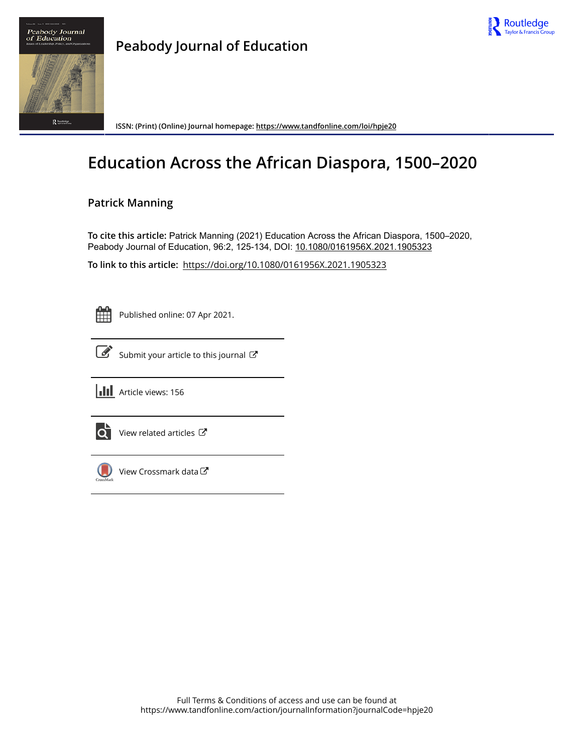



**ISSN: (Print) (Online) Journal homepage:<https://www.tandfonline.com/loi/hpje20>**

# **Education Across the African Diaspora, 1500–2020**

## **Patrick Manning**

**To cite this article:** Patrick Manning (2021) Education Across the African Diaspora, 1500–2020, Peabody Journal of Education, 96:2, 125-134, DOI: [10.1080/0161956X.2021.1905323](https://www.tandfonline.com/action/showCitFormats?doi=10.1080/0161956X.2021.1905323)

**To link to this article:** <https://doi.org/10.1080/0161956X.2021.1905323>

| - |  |
|---|--|
|   |  |
|   |  |
|   |  |

Published online: 07 Apr 2021.



 $\overrightarrow{S}$  [Submit your article to this journal](https://www.tandfonline.com/action/authorSubmission?journalCode=hpje20&show=instructions)  $\overrightarrow{S}$ 



 $\overrightarrow{Q}$  [View related articles](https://www.tandfonline.com/doi/mlt/10.1080/0161956X.2021.1905323)  $\overrightarrow{C}$ 

 $\bigcirc$  [View Crossmark data](http://crossmark.crossref.org/dialog/?doi=10.1080/0161956X.2021.1905323&domain=pdf&date_stamp=2021-04-07) $\mathbb{Z}$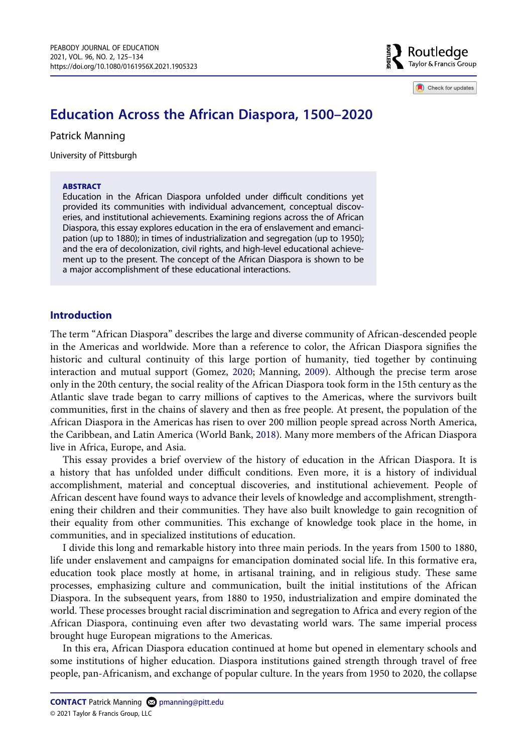Routledge  $\frac{5}{8}$  Taylor & Francis Group

Check for updates

## **Education Across the African Diaspora, 1500–2020**

Patrick Manning

University of Pittsburgh

#### **ABSTRACT**

Education in the African Diaspora unfolded under difficult conditions yet provided its communities with individual advancement, conceptual discoveries, and institutional achievements. Examining regions across the of African Diaspora, this essay explores education in the era of enslavement and emancipation (up to 1880); in times of industrialization and segregation (up to 1950); and the era of decolonization, civil rights, and high-level educational achievement up to the present. The concept of the African Diaspora is shown to be a major accomplishment of these educational interactions.

### **Introduction**

<span id="page-1-0"></span>The term "African Diaspora" describes the large and diverse community of African-descended people in the Americas and worldwide. More than a reference to color, the African Diaspora signifies the historic and cultural continuity of this large portion of humanity, tied together by continuing interaction and mutual support (Gomez, [2020;](#page-10-0) Manning, [2009\)](#page-10-1). Although the precise term arose only in the 20th century, the social reality of the African Diaspora took form in the 15th century as the Atlantic slave trade began to carry millions of captives to the Americas, where the survivors built communities, first in the chains of slavery and then as free people. At present, the population of the African Diaspora in the Americas has risen to over 200 million people spread across North America, the Caribbean, and Latin America (World Bank, [2018\)](#page-10-2). Many more members of the African Diaspora live in Africa, Europe, and Asia.

<span id="page-1-1"></span>This essay provides a brief overview of the history of education in the African Diaspora. It is a history that has unfolded under difficult conditions. Even more, it is a history of individual accomplishment, material and conceptual discoveries, and institutional achievement. People of African descent have found ways to advance their levels of knowledge and accomplishment, strengthening their children and their communities. They have also built knowledge to gain recognition of their equality from other communities. This exchange of knowledge took place in the home, in communities, and in specialized institutions of education.

I divide this long and remarkable history into three main periods. In the years from 1500 to 1880, life under enslavement and campaigns for emancipation dominated social life. In this formative era, education took place mostly at home, in artisanal training, and in religious study. These same processes, emphasizing culture and communication, built the initial institutions of the African Diaspora. In the subsequent years, from 1880 to 1950, industrialization and empire dominated the world. These processes brought racial discrimination and segregation to Africa and every region of the African Diaspora, continuing even after two devastating world wars. The same imperial process brought huge European migrations to the Americas.

In this era, African Diaspora education continued at home but opened in elementary schools and some institutions of higher education. Diaspora institutions gained strength through travel of free people, pan-Africanism, and exchange of popular culture. In the years from 1950 to 2020, the collapse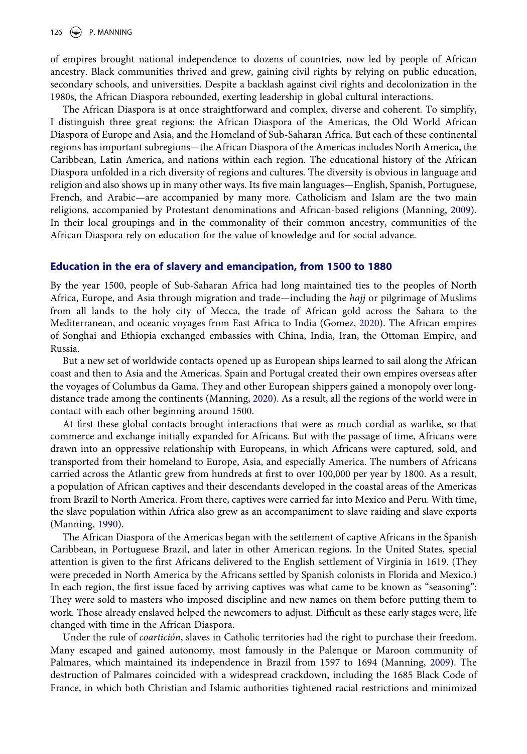of empires brought national independence to dozens of countries, now led by people of African ancestry. Black communities thrived and grew, gaining civil rights by relying on public education, secondary schools, and universities. Despite a backlash against civil rights and decolonization in the 1980s, the African Diaspora rebounded, exerting leadership in global cultural interactions.

The African Diaspora is at once straightforward and complex, diverse and coherent. To simplify, I distinguish three great regions: the African Diaspora of the Americas, the Old World African Diaspora of Europe and Asia, and the Homeland of Sub-Saharan Africa. But each of these continental regions has important subregions—the African Diaspora of the Americas includes North America, the Caribbean, Latin America, and nations within each region. The educational history of the African Diaspora unfolded in a rich diversity of regions and cultures. The diversity is obvious in language and religion and also shows up in many other ways. Its five main languages—English, Spanish, Portuguese, French, and Arabic—are accompanied by many more. Catholicism and Islam are the two main religions, accompanied by Protestant denominations and African-based religions (Manning, [2009](#page-10-1)). In their local groupings and in the commonality of their common ancestry, communities of the African Diaspora rely on education for the value of knowledge and for social advance.

#### **Education in the era of slavery and emancipation, from 1500 to 1880**

By the year 1500, people of Sub-Saharan Africa had long maintained ties to the peoples of North Africa, Europe, and Asia through migration and trade—including the *hajj* or pilgrimage of Muslims from all lands to the holy city of Mecca, the trade of African gold across the Sahara to the Mediterranean, and oceanic voyages from East Africa to India (Gomez, [2020\)](#page-10-0). The African empires of Songhai and Ethiopia exchanged embassies with China, India, Iran, the Ottoman Empire, and Russia.

But a new set of worldwide contacts opened up as European ships learned to sail along the African coast and then to Asia and the Americas. Spain and Portugal created their own empires overseas after the voyages of Columbus da Gama. They and other European shippers gained a monopoly over longdistance trade among the continents (Manning, [2020](#page-10-3)). As a result, all the regions of the world were in contact with each other beginning around 1500.

<span id="page-2-1"></span>At first these global contacts brought interactions that were as much cordial as warlike, so that commerce and exchange initially expanded for Africans. But with the passage of time, Africans were drawn into an oppressive relationship with Europeans, in which Africans were captured, sold, and transported from their homeland to Europe, Asia, and especially America. The numbers of Africans carried across the Atlantic grew from hundreds at first to over 100,000 per year by 1800. As a result, a population of African captives and their descendants developed in the coastal areas of the Americas from Brazil to North America. From there, captives were carried far into Mexico and Peru. With time, the slave population within Africa also grew as an accompaniment to slave raiding and slave exports (Manning, [1990\)](#page-10-4).

<span id="page-2-0"></span>The African Diaspora of the Americas began with the settlement of captive Africans in the Spanish Caribbean, in Portuguese Brazil, and later in other American regions. In the United States, special attention is given to the first Africans delivered to the English settlement of Virginia in 1619. (They were preceded in North America by the Africans settled by Spanish colonists in Florida and Mexico.) In each region, the first issue faced by arriving captives was what came to be known as "seasoning": They were sold to masters who imposed discipline and new names on them before putting them to work. Those already enslaved helped the newcomers to adjust. Difficult as these early stages were, life changed with time in the African Diaspora.

Under the rule of *coartición*, slaves in Catholic territories had the right to purchase their freedom. Many escaped and gained autonomy, most famously in the Palenque or Maroon community of Palmares, which maintained its independence in Brazil from 1597 to 1694 (Manning, [2009\)](#page-10-1). The destruction of Palmares coincided with a widespread crackdown, including the 1685 Black Code of France, in which both Christian and Islamic authorities tightened racial restrictions and minimized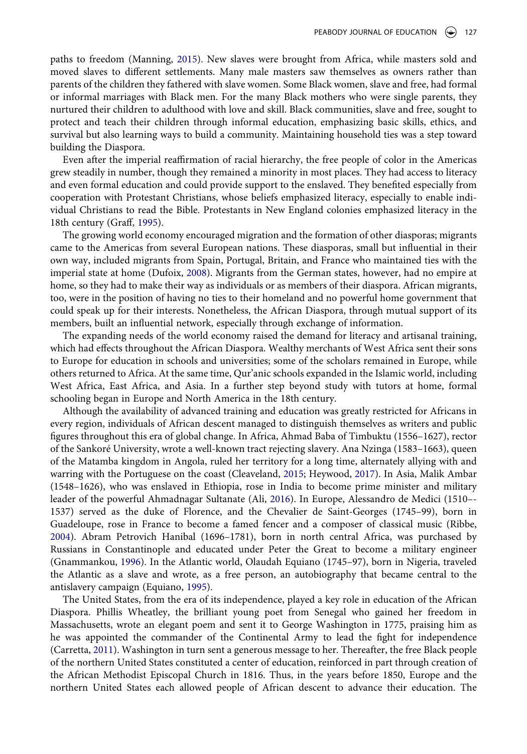<span id="page-3-7"></span>paths to freedom (Manning, [2015\)](#page-10-5). New slaves were brought from Africa, while masters sold and moved slaves to different settlements. Many male masters saw themselves as owners rather than parents of the children they fathered with slave women. Some Black women, slave and free, had formal or informal marriages with Black men. For the many Black mothers who were single parents, they nurtured their children to adulthood with love and skill. Black communities, slave and free, sought to protect and teach their children through informal education, emphasizing basic skills, ethics, and survival but also learning ways to build a community. Maintaining household ties was a step toward building the Diaspora.

Even after the imperial reaffirmation of racial hierarchy, the free people of color in the Americas grew steadily in number, though they remained a minority in most places. They had access to literacy and even formal education and could provide support to the enslaved. They benefited especially from cooperation with Protestant Christians, whose beliefs emphasized literacy, especially to enable individual Christians to read the Bible. Protestants in New England colonies emphasized literacy in the 18th century (Graff, [1995\)](#page-10-6).

<span id="page-3-6"></span><span id="page-3-3"></span>The growing world economy encouraged migration and the formation of other diasporas; migrants came to the Americas from several European nations. These diasporas, small but influential in their own way, included migrants from Spain, Portugal, Britain, and France who maintained ties with the imperial state at home (Dufoix, [2008\)](#page-10-7). Migrants from the German states, however, had no empire at home, so they had to make their way as individuals or as members of their diaspora. African migrants, too, were in the position of having no ties to their homeland and no powerful home government that could speak up for their interests. Nonetheless, the African Diaspora, through mutual support of its members, built an influential network, especially through exchange of information.

The expanding needs of the world economy raised the demand for literacy and artisanal training, which had effects throughout the African Diaspora. Wealthy merchants of West Africa sent their sons to Europe for education in schools and universities; some of the scholars remained in Europe, while others returned to Africa. At the same time, Qur'anic schools expanded in the Islamic world, including West Africa, East Africa, and Asia. In a further step beyond study with tutors at home, formal schooling began in Europe and North America in the 18th century.

<span id="page-3-2"></span><span id="page-3-0"></span>Although the availability of advanced training and education was greatly restricted for Africans in every region, individuals of African descent managed to distinguish themselves as writers and public figures throughout this era of global change. In Africa, Ahmad Baba of Timbuktu (1556–1627), rector of the Sankoré University, wrote a well-known tract rejecting slavery. Ana Nzinga (1583–1663), queen of the Matamba kingdom in Angola, ruled her territory for a long time, alternately allying with and warring with the Portuguese on the coast (Cleaveland, [2015](#page-9-0); Heywood, [2017\)](#page-10-8). In Asia, Malik Ambar (1548–1626), who was enslaved in Ethiopia, rose in India to become prime minister and military leader of the powerful Ahmadnagar Sultanate (Ali, [2016](#page-9-1)). In Europe, Alessandro de Medici (1510–- 1537) served as the duke of Florence, and the Chevalier de Saint-Georges (1745–99), born in Guadeloupe, rose in France to become a famed fencer and a composer of classical music (Ribbe, [2004](#page-10-9)). Abram Petrovich Hanibal (1696–1781), born in north central Africa, was purchased by Russians in Constantinople and educated under Peter the Great to become a military engineer (Gnammankou, [1996\)](#page-10-10). In the Atlantic world, Olaudah Equiano (1745–97), born in Nigeria, traveled the Atlantic as a slave and wrote, as a free person, an autobiography that became central to the antislavery campaign (Equiano, [1995\)](#page-10-11).

<span id="page-3-8"></span><span id="page-3-5"></span><span id="page-3-4"></span><span id="page-3-1"></span>The United States, from the era of its independence, played a key role in education of the African Diaspora. Phillis Wheatley, the brilliant young poet from Senegal who gained her freedom in Massachusetts, wrote an elegant poem and sent it to George Washington in 1775, praising him as he was appointed the commander of the Continental Army to lead the fight for independence (Carretta, [2011](#page-9-2)). Washington in turn sent a generous message to her. Thereafter, the free Black people of the northern United States constituted a center of education, reinforced in part through creation of the African Methodist Episcopal Church in 1816. Thus, in the years before 1850, Europe and the northern United States each allowed people of African descent to advance their education. The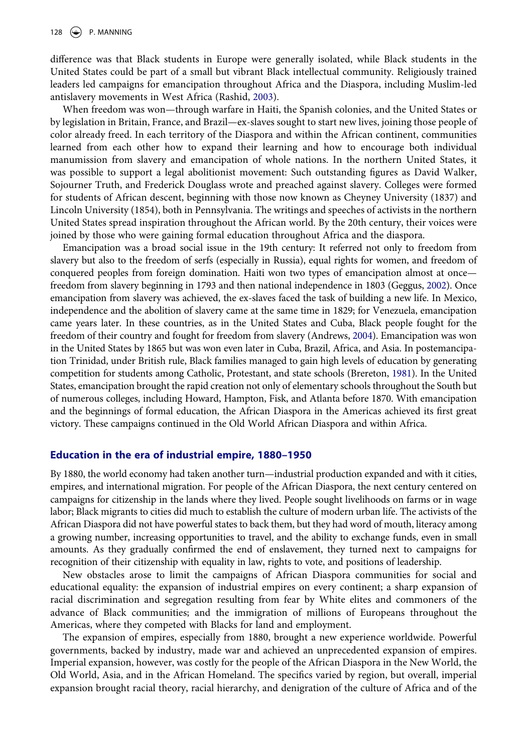difference was that Black students in Europe were generally isolated, while Black students in the United States could be part of a small but vibrant Black intellectual community. Religiously trained leaders led campaigns for emancipation throughout Africa and the Diaspora, including Muslim-led antislavery movements in West Africa (Rashid, [2003](#page-10-12)).

<span id="page-4-3"></span>When freedom was won—through warfare in Haiti, the Spanish colonies, and the United States or by legislation in Britain, France, and Brazil—ex-slaves sought to start new lives, joining those people of color already freed. In each territory of the Diaspora and within the African continent, communities learned from each other how to expand their learning and how to encourage both individual manumission from slavery and emancipation of whole nations. In the northern United States, it was possible to support a legal abolitionist movement: Such outstanding figures as David Walker, Sojourner Truth, and Frederick Douglass wrote and preached against slavery. Colleges were formed for students of African descent, beginning with those now known as Cheyney University (1837) and Lincoln University (1854), both in Pennsylvania. The writings and speeches of activists in the northern United States spread inspiration throughout the African world. By the 20th century, their voices were joined by those who were gaining formal education throughout Africa and the diaspora.

<span id="page-4-2"></span><span id="page-4-0"></span>Emancipation was a broad social issue in the 19th century: It referred not only to freedom from slavery but also to the freedom of serfs (especially in Russia), equal rights for women, and freedom of conquered peoples from foreign domination. Haiti won two types of emancipation almost at once freedom from slavery beginning in 1793 and then national independence in 1803 (Geggus, [2002\)](#page-10-13). Once emancipation from slavery was achieved, the ex-slaves faced the task of building a new life. In Mexico, independence and the abolition of slavery came at the same time in 1829; for Venezuela, emancipation came years later. In these countries, as in the United States and Cuba, Black people fought for the freedom of their country and fought for freedom from slavery (Andrews, [2004](#page-9-3)). Emancipation was won in the United States by 1865 but was won even later in Cuba, Brazil, Africa, and Asia. In postemancipation Trinidad, under British rule, Black families managed to gain high levels of education by generating competition for students among Catholic, Protestant, and state schools (Brereton, [1981\)](#page-9-4). In the United States, emancipation brought the rapid creation not only of elementary schools throughout the South but of numerous colleges, including Howard, Hampton, Fisk, and Atlanta before 1870. With emancipation and the beginnings of formal education, the African Diaspora in the Americas achieved its first great victory. These campaigns continued in the Old World African Diaspora and within Africa.

#### <span id="page-4-1"></span>**Education in the era of industrial empire, 1880–1950**

By 1880, the world economy had taken another turn—industrial production expanded and with it cities, empires, and international migration. For people of the African Diaspora, the next century centered on campaigns for citizenship in the lands where they lived. People sought livelihoods on farms or in wage labor; Black migrants to cities did much to establish the culture of modern urban life. The activists of the African Diaspora did not have powerful states to back them, but they had word of mouth, literacy among a growing number, increasing opportunities to travel, and the ability to exchange funds, even in small amounts. As they gradually confirmed the end of enslavement, they turned next to campaigns for recognition of their citizenship with equality in law, rights to vote, and positions of leadership.

New obstacles arose to limit the campaigns of African Diaspora communities for social and educational equality: the expansion of industrial empires on every continent; a sharp expansion of racial discrimination and segregation resulting from fear by White elites and commoners of the advance of Black communities; and the immigration of millions of Europeans throughout the Americas, where they competed with Blacks for land and employment.

The expansion of empires, especially from 1880, brought a new experience worldwide. Powerful governments, backed by industry, made war and achieved an unprecedented expansion of empires. Imperial expansion, however, was costly for the people of the African Diaspora in the New World, the Old World, Asia, and in the African Homeland. The specifics varied by region, but overall, imperial expansion brought racial theory, racial hierarchy, and denigration of the culture of Africa and of the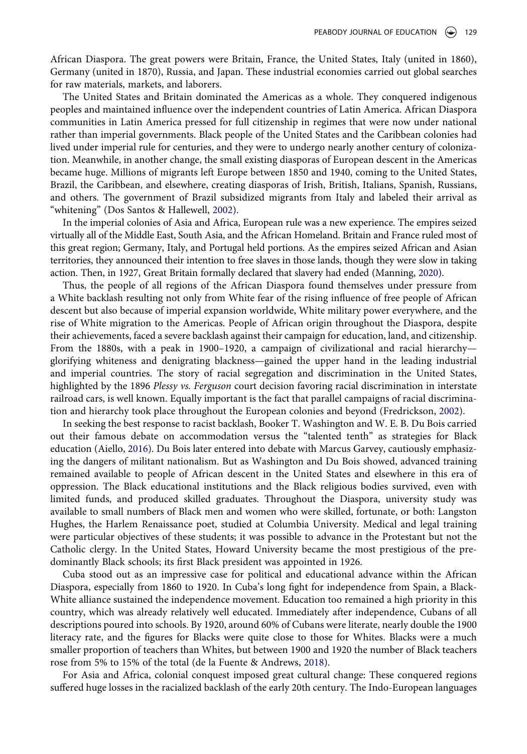African Diaspora. The great powers were Britain, France, the United States, Italy (united in 1860), Germany (united in 1870), Russia, and Japan. These industrial economies carried out global searches for raw materials, markets, and laborers.

The United States and Britain dominated the Americas as a whole. They conquered indigenous peoples and maintained influence over the independent countries of Latin America. African Diaspora communities in Latin America pressed for full citizenship in regimes that were now under national rather than imperial governments. Black people of the United States and the Caribbean colonies had lived under imperial rule for centuries, and they were to undergo nearly another century of colonization. Meanwhile, in another change, the small existing diasporas of European descent in the Americas became huge. Millions of migrants left Europe between 1850 and 1940, coming to the United States, Brazil, the Caribbean, and elsewhere, creating diasporas of Irish, British, Italians, Spanish, Russians, and others. The government of Brazil subsidized migrants from Italy and labeled their arrival as "whitening" (Dos Santos & Hallewell, [2002\)](#page-10-14).

<span id="page-5-2"></span>In the imperial colonies of Asia and Africa, European rule was a new experience. The empires seized virtually all of the Middle East, South Asia, and the African Homeland. Britain and France ruled most of this great region; Germany, Italy, and Portugal held portions. As the empires seized African and Asian territories, they announced their intention to free slaves in those lands, though they were slow in taking action. Then, in 1927, Great Britain formally declared that slavery had ended (Manning, [2020](#page-10-3)).

Thus, the people of all regions of the African Diaspora found themselves under pressure from a White backlash resulting not only from White fear of the rising influence of free people of African descent but also because of imperial expansion worldwide, White military power everywhere, and the rise of White migration to the Americas. People of African origin throughout the Diaspora, despite their achievements, faced a severe backlash against their campaign for education, land, and citizenship. From the 1880s, with a peak in 1900–1920, a campaign of civilizational and racial hierarchy glorifying whiteness and denigrating blackness—gained the upper hand in the leading industrial and imperial countries. The story of racial segregation and discrimination in the United States, highlighted by the 1896 *Plessy vs. Ferguson* court decision favoring racial discrimination in interstate railroad cars, is well known. Equally important is the fact that parallel campaigns of racial discrimination and hierarchy took place throughout the European colonies and beyond (Fredrickson, [2002](#page-10-15)).

<span id="page-5-3"></span><span id="page-5-0"></span>In seeking the best response to racist backlash, Booker T. Washington and W. E. B. Du Bois carried out their famous debate on accommodation versus the "talented tenth" as strategies for Black education (Aiello, [2016\)](#page-9-5). Du Bois later entered into debate with Marcus Garvey, cautiously emphasizing the dangers of militant nationalism. But as Washington and Du Bois showed, advanced training remained available to people of African descent in the United States and elsewhere in this era of oppression. The Black educational institutions and the Black religious bodies survived, even with limited funds, and produced skilled graduates. Throughout the Diaspora, university study was available to small numbers of Black men and women who were skilled, fortunate, or both: Langston Hughes, the Harlem Renaissance poet, studied at Columbia University. Medical and legal training were particular objectives of these students; it was possible to advance in the Protestant but not the Catholic clergy. In the United States, Howard University became the most prestigious of the predominantly Black schools; its first Black president was appointed in 1926.

Cuba stood out as an impressive case for political and educational advance within the African Diaspora, especially from 1860 to 1920. In Cuba's long fight for independence from Spain, a Black-White alliance sustained the independence movement. Education too remained a high priority in this country, which was already relatively well educated. Immediately after independence, Cubans of all descriptions poured into schools. By 1920, around 60% of Cubans were literate, nearly double the 1900 literacy rate, and the figures for Blacks were quite close to those for Whites. Blacks were a much smaller proportion of teachers than Whites, but between 1900 and 1920 the number of Black teachers rose from 5% to 15% of the total (de la Fuente & Andrews, [2018\)](#page-10-16).

<span id="page-5-1"></span>For Asia and Africa, colonial conquest imposed great cultural change: These conquered regions suffered huge losses in the racialized backlash of the early 20th century. The Indo-European languages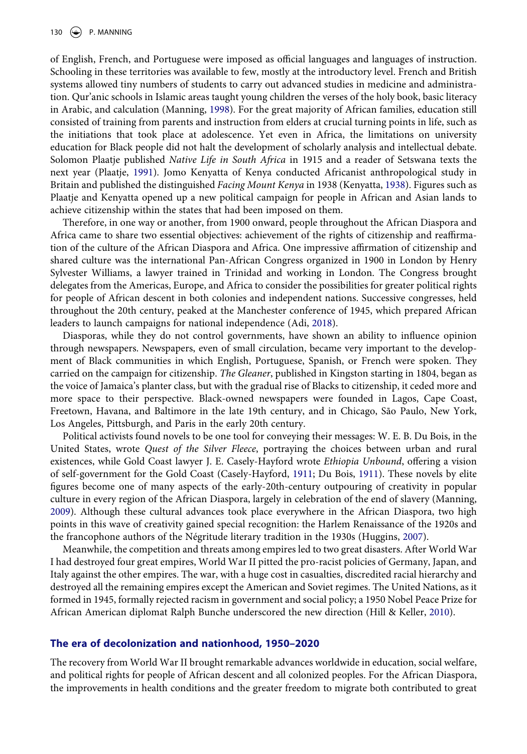<span id="page-6-5"></span>of English, French, and Portuguese were imposed as official languages and languages of instruction. Schooling in these territories was available to few, mostly at the introductory level. French and British systems allowed tiny numbers of students to carry out advanced studies in medicine and administration. Qur'anic schools in Islamic areas taught young children the verses of the holy book, basic literacy in Arabic, and calculation (Manning, [1998\)](#page-10-17). For the great majority of African families, education still consisted of training from parents and instruction from elders at crucial turning points in life, such as the initiations that took place at adolescence. Yet even in Africa, the limitations on university education for Black people did not halt the development of scholarly analysis and intellectual debate. Solomon Plaatje published *Native Life in South Africa* in 1915 and a reader of Setswana texts the next year (Plaatje, [1991\)](#page-10-18). Jomo Kenyatta of Kenya conducted Africanist anthropological study in Britain and published the distinguished *Facing Mount Kenya* in 1938 (Kenyatta, [1938\)](#page-10-19). Figures such as Plaatje and Kenyatta opened up a new political campaign for people in African and Asian lands to achieve citizenship within the states that had been imposed on them.

<span id="page-6-6"></span><span id="page-6-4"></span>Therefore, in one way or another, from 1900 onward, people throughout the African Diaspora and Africa came to share two essential objectives: achievement of the rights of citizenship and reaffirmation of the culture of the African Diaspora and Africa. One impressive affirmation of citizenship and shared culture was the international Pan-African Congress organized in 1900 in London by Henry Sylvester Williams, a lawyer trained in Trinidad and working in London. The Congress brought delegates from the Americas, Europe, and Africa to consider the possibilities for greater political rights for people of African descent in both colonies and independent nations. Successive congresses, held throughout the 20th century, peaked at the Manchester conference of 1945, which prepared African leaders to launch campaigns for national independence (Adi, [2018\)](#page-9-6).

<span id="page-6-0"></span>Diasporas, while they do not control governments, have shown an ability to influence opinion through newspapers. Newspapers, even of small circulation, became very important to the development of Black communities in which English, Portuguese, Spanish, or French were spoken. They carried on the campaign for citizenship. *The Gleaner*, published in Kingston starting in 1804, began as the voice of Jamaica's planter class, but with the gradual rise of Blacks to citizenship, it ceded more and more space to their perspective. Black-owned newspapers were founded in Lagos, Cape Coast, Freetown, Havana, and Baltimore in the late 19th century, and in Chicago, São Paulo, New York, Los Angeles, Pittsburgh, and Paris in the early 20th century.

<span id="page-6-1"></span>Political activists found novels to be one tool for conveying their messages: W. E. B. Du Bois, in the United States, wrote *Quest of the Silver Fleece*, portraying the choices between urban and rural existences, while Gold Coast lawyer J. E. Casely-Hayford wrote *Ethiopia Unbound*, offering a vision of self-government for the Gold Coast (Casely-Hayford, [1911](#page-9-7); Du Bois, [1911](#page-10-20)). These novels by elite figures become one of many aspects of the early-20th-century outpouring of creativity in popular culture in every region of the African Diaspora, largely in celebration of the end of slavery (Manning, [2009](#page-10-1)). Although these cultural advances took place everywhere in the African Diaspora, two high points in this wave of creativity gained special recognition: the Harlem Renaissance of the 1920s and the francophone authors of the Négritude literary tradition in the 1930s (Huggins, [2007\)](#page-10-21).

<span id="page-6-3"></span>Meanwhile, the competition and threats among empires led to two great disasters. After World War I had destroyed four great empires, World War II pitted the pro-racist policies of Germany, Japan, and Italy against the other empires. The war, with a huge cost in casualties, discredited racial hierarchy and destroyed all the remaining empires except the American and Soviet regimes. The United Nations, as it formed in 1945, formally rejected racism in government and social policy; a 1950 Nobel Peace Prize for African American diplomat Ralph Bunche underscored the new direction (Hill & Keller, [2010\)](#page-10-22).

#### <span id="page-6-2"></span>**The era of decolonization and nationhood, 1950–2020**

The recovery from World War II brought remarkable advances worldwide in education, social welfare, and political rights for people of African descent and all colonized peoples. For the African Diaspora, the improvements in health conditions and the greater freedom to migrate both contributed to great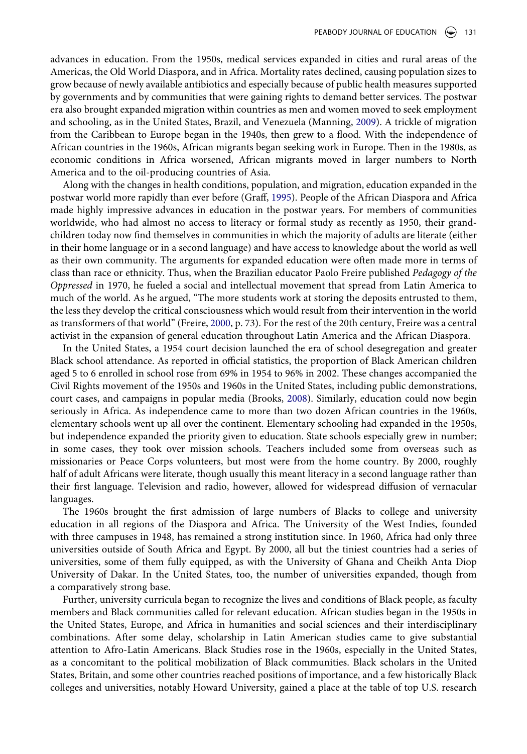advances in education. From the 1950s, medical services expanded in cities and rural areas of the Americas, the Old World Diaspora, and in Africa. Mortality rates declined, causing population sizes to grow because of newly available antibiotics and especially because of public health measures supported by governments and by communities that were gaining rights to demand better services. The postwar era also brought expanded migration within countries as men and women moved to seek employment and schooling, as in the United States, Brazil, and Venezuela (Manning, [2009\)](#page-10-1). A trickle of migration from the Caribbean to Europe began in the 1940s, then grew to a flood. With the independence of African countries in the 1960s, African migrants began seeking work in Europe. Then in the 1980s, as economic conditions in Africa worsened, African migrants moved in larger numbers to North America and to the oil-producing countries of Asia.

Along with the changes in health conditions, population, and migration, education expanded in the postwar world more rapidly than ever before (Graff, [1995\)](#page-10-6). People of the African Diaspora and Africa made highly impressive advances in education in the postwar years. For members of communities worldwide, who had almost no access to literacy or formal study as recently as 1950, their grandchildren today now find themselves in communities in which the majority of adults are literate (either in their home language or in a second language) and have access to knowledge about the world as well as their own community. The arguments for expanded education were often made more in terms of class than race or ethnicity. Thus, when the Brazilian educator Paolo Freire published *Pedagogy of the Oppressed* in 1970, he fueled a social and intellectual movement that spread from Latin America to much of the world. As he argued, "The more students work at storing the deposits entrusted to them, the less they develop the critical consciousness which would result from their intervention in the world as transformers of that world" (Freire, [2000](#page-10-23), p. 73). For the rest of the 20th century, Freire was a central activist in the expansion of general education throughout Latin America and the African Diaspora.

<span id="page-7-1"></span><span id="page-7-0"></span>In the United States, a 1954 court decision launched the era of school desegregation and greater Black school attendance. As reported in official statistics, the proportion of Black American children aged 5 to 6 enrolled in school rose from 69% in 1954 to 96% in 2002. These changes accompanied the Civil Rights movement of the 1950s and 1960s in the United States, including public demonstrations, court cases, and campaigns in popular media (Brooks, [2008\)](#page-9-8). Similarly, education could now begin seriously in Africa. As independence came to more than two dozen African countries in the 1960s, elementary schools went up all over the continent. Elementary schooling had expanded in the 1950s, but independence expanded the priority given to education. State schools especially grew in number; in some cases, they took over mission schools. Teachers included some from overseas such as missionaries or Peace Corps volunteers, but most were from the home country. By 2000, roughly half of adult Africans were literate, though usually this meant literacy in a second language rather than their first language. Television and radio, however, allowed for widespread diffusion of vernacular languages.

The 1960s brought the first admission of large numbers of Blacks to college and university education in all regions of the Diaspora and Africa. The University of the West Indies, founded with three campuses in 1948, has remained a strong institution since. In 1960, Africa had only three universities outside of South Africa and Egypt. By 2000, all but the tiniest countries had a series of universities, some of them fully equipped, as with the University of Ghana and Cheikh Anta Diop University of Dakar. In the United States, too, the number of universities expanded, though from a comparatively strong base.

Further, university curricula began to recognize the lives and conditions of Black people, as faculty members and Black communities called for relevant education. African studies began in the 1950s in the United States, Europe, and Africa in humanities and social sciences and their interdisciplinary combinations. After some delay, scholarship in Latin American studies came to give substantial attention to Afro-Latin Americans. Black Studies rose in the 1960s, especially in the United States, as a concomitant to the political mobilization of Black communities. Black scholars in the United States, Britain, and some other countries reached positions of importance, and a few historically Black colleges and universities, notably Howard University, gained a place at the table of top U.S. research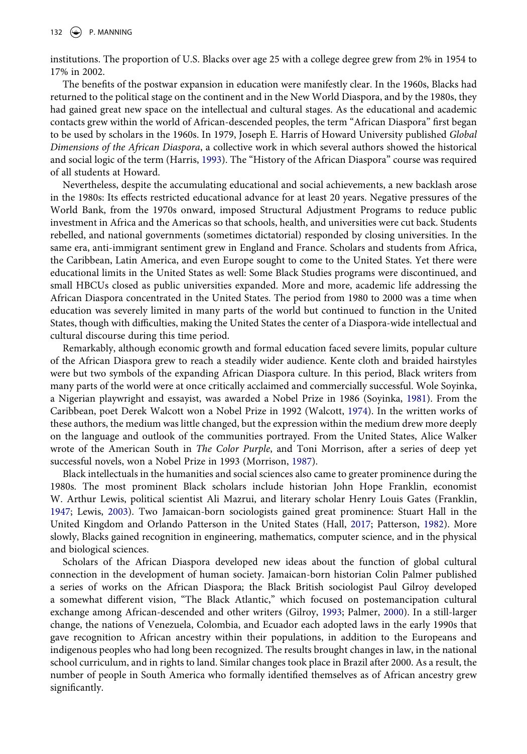institutions. The proportion of U.S. Blacks over age 25 with a college degree grew from 2% in 1954 to 17% in 2002.

The benefits of the postwar expansion in education were manifestly clear. In the 1960s, Blacks had returned to the political stage on the continent and in the New World Diaspora, and by the 1980s, they had gained great new space on the intellectual and cultural stages. As the educational and academic contacts grew within the world of African-descended peoples, the term "African Diaspora" first began to be used by scholars in the 1960s. In 1979, Joseph E. Harris of Howard University published *Global Dimensions of the African Diaspora*, a collective work in which several authors showed the historical and social logic of the term (Harris, [1993\)](#page-10-24). The "History of the African Diaspora" course was required of all students at Howard.

<span id="page-8-3"></span>Nevertheless, despite the accumulating educational and social achievements, a new backlash arose in the 1980s: Its effects restricted educational advance for at least 20 years. Negative pressures of the World Bank, from the 1970s onward, imposed Structural Adjustment Programs to reduce public investment in Africa and the Americas so that schools, health, and universities were cut back. Students rebelled, and national governments (sometimes dictatorial) responded by closing universities. In the same era, anti-immigrant sentiment grew in England and France. Scholars and students from Africa, the Caribbean, Latin America, and even Europe sought to come to the United States. Yet there were educational limits in the United States as well: Some Black Studies programs were discontinued, and small HBCUs closed as public universities expanded. More and more, academic life addressing the African Diaspora concentrated in the United States. The period from 1980 to 2000 was a time when education was severely limited in many parts of the world but continued to function in the United States, though with difficulties, making the United States the center of a Diaspora-wide intellectual and cultural discourse during this time period.

<span id="page-8-7"></span><span id="page-8-6"></span>Remarkably, although economic growth and formal education faced severe limits, popular culture of the African Diaspora grew to reach a steadily wider audience. Kente cloth and braided hairstyles were but two symbols of the expanding African Diaspora culture. In this period, Black writers from many parts of the world were at once critically acclaimed and commercially successful. Wole Soyinka, a Nigerian playwright and essayist, was awarded a Nobel Prize in 1986 (Soyinka, [1981](#page-10-25)). From the Caribbean, poet Derek Walcott won a Nobel Prize in 1992 (Walcott, [1974\)](#page-10-26). In the written works of these authors, the medium was little changed, but the expression within the medium drew more deeply on the language and outlook of the communities portrayed. From the United States, Alice Walker wrote of the American South in *The Color Purple*, and Toni Morrison, after a series of deep yet successful novels, won a Nobel Prize in 1993 (Morrison, [1987](#page-10-27)).

<span id="page-8-5"></span><span id="page-8-4"></span><span id="page-8-0"></span>Black intellectuals in the humanities and social sciences also came to greater prominence during the 1980s. The most prominent Black scholars include historian John Hope Franklin, economist W. Arthur Lewis, political scientist Ali Mazrui, and literary scholar Henry Louis Gates (Franklin, [1947](#page-10-28); Lewis, [2003\)](#page-10-29). Two Jamaican-born sociologists gained great prominence: Stuart Hall in the United Kingdom and Orlando Patterson in the United States (Hall, [2017;](#page-10-30) Patterson, [1982](#page-10-31)). More slowly, Blacks gained recognition in engineering, mathematics, computer science, and in the physical and biological sciences.

<span id="page-8-2"></span><span id="page-8-1"></span>Scholars of the African Diaspora developed new ideas about the function of global cultural connection in the development of human society. Jamaican-born historian Colin Palmer published a series of works on the African Diaspora; the Black British sociologist Paul Gilroy developed a somewhat different vision, "The Black Atlantic," which focused on postemancipation cultural exchange among African-descended and other writers (Gilroy, [1993;](#page-10-32) Palmer, [2000\)](#page-10-33). In a still-larger change, the nations of Venezuela, Colombia, and Ecuador each adopted laws in the early 1990s that gave recognition to African ancestry within their populations, in addition to the Europeans and indigenous peoples who had long been recognized. The results brought changes in law, in the national school curriculum, and in rights to land. Similar changes took place in Brazil after 2000. As a result, the number of people in South America who formally identified themselves as of African ancestry grew significantly.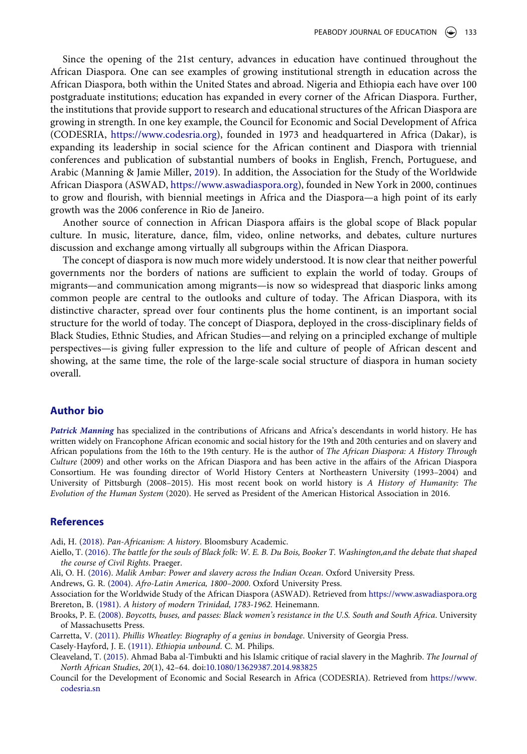Since the opening of the 21st century, advances in education have continued throughout the African Diaspora. One can see examples of growing institutional strength in education across the African Diaspora, both within the United States and abroad. Nigeria and Ethiopia each have over 100 postgraduate institutions; education has expanded in every corner of the African Diaspora. Further, the institutions that provide support to research and educational structures of the African Diaspora are growing in strength. In one key example, the Council for Economic and Social Development of Africa (CODESRIA, <https://www.codesria.org>), founded in 1973 and headquartered in Africa (Dakar), is expanding its leadership in social science for the African continent and Diaspora with triennial conferences and publication of substantial numbers of books in English, French, Portuguese, and Arabic (Manning & Jamie Miller, [2019](#page-10-34)). In addition, the Association for the Study of the Worldwide African Diaspora (ASWAD, [https://www.aswadiaspora.org\)](https://www.aswadiaspora.org), founded in New York in 2000, continues to grow and flourish, with biennial meetings in Africa and the Diaspora—a high point of its early growth was the 2006 conference in Rio de Janeiro.

<span id="page-9-9"></span>Another source of connection in African Diaspora affairs is the global scope of Black popular culture. In music, literature, dance, film, video, online networks, and debates, culture nurtures discussion and exchange among virtually all subgroups within the African Diaspora.

The concept of diaspora is now much more widely understood. It is now clear that neither powerful governments nor the borders of nations are sufficient to explain the world of today. Groups of migrants—and communication among migrants—is now so widespread that diasporic links among common people are central to the outlooks and culture of today. The African Diaspora, with its distinctive character, spread over four continents plus the home continent, is an important social structure for the world of today. The concept of Diaspora, deployed in the cross-disciplinary fields of Black Studies, Ethnic Studies, and African Studies—and relying on a principled exchange of multiple perspectives—is giving fuller expression to the life and culture of people of African descent and showing, at the same time, the role of the large-scale social structure of diaspora in human society overall.

#### **Author bio**

*Patrick Manning* has specialized in the contributions of Africans and Africa's descendants in world history. He has written widely on Francophone African economic and social history for the 19th and 20th centuries and on slavery and African populations from the 16th to the 19th century. He is the author of *The African Diaspora: A History Through Culture* (2009) and other works on the African Diaspora and has been active in the affairs of the African Diaspora Consortium. He was founding director of World History Centers at Northeastern University (1993–2004) and University of Pittsburgh (2008–2015). His most recent book on world history is *A History of Humanity: The Evolution of the Human System* (2020). He served as President of the American Historical Association in 2016.

#### **References**

<span id="page-9-6"></span>Adi, H. ([2018](#page-6-0)). *Pan-Africanism: A history*. Bloomsbury Academic.

<span id="page-9-5"></span>Aiello, T. [\(2016\)](#page-5-0). *The battle for the souls of Black folk: W. E. B. Du Bois, Booker T. Washington,and the debate that shaped the course of Civil Rights*. Praeger.

<span id="page-9-1"></span>Ali, O. H. [\(2016](#page-3-0)). *Malik Ambar: Power and slavery across the Indian Ocean*. Oxford University Press.

<span id="page-9-3"></span>Andrews, G. R. ([2004](#page-4-0)). *Afro-Latin America, 1800–2000*. Oxford University Press.

<span id="page-9-4"></span>Association for the Worldwide Study of the African Diaspora (ASWAD). Retrieved from <https://www.aswadiaspora.org> Brereton, B. ([1981\)](#page-4-1). *A history of modern Trinidad, 1783-1962*. Heinemann.

<span id="page-9-8"></span>Brooks, P. E. ([2008](#page-7-0)). *Boycotts, buses, and passes: Black women's resistance in the U.S. South and South Africa*. University of Massachusetts Press.

<span id="page-9-2"></span>Carretta, V. ([2011](#page-3-1)). *Phillis Wheatley: Biography of a genius in bondage*. University of Georgia Press.

<span id="page-9-7"></span>Casely-Hayford, J. E. [\(1911\)](#page-6-1). *Ethiopia unbound*. C. M. Philips.

<span id="page-9-0"></span>Cleaveland, T. ([2015](#page-3-2)). Ahmad Baba al-Timbukti and his Islamic critique of racial slavery in the Maghrib. *The Journal of North African Studies*, *20*(1), 42–64. doi:[10.1080/13629387.2014.983825](https://doi.org/10.1080/13629387.2014.983825)

Council for the Development of Economic and Social Research in Africa (CODESRIA). Retrieved from [https://www.](https://www.codesria.sn) [codesria.sn](https://www.codesria.sn)